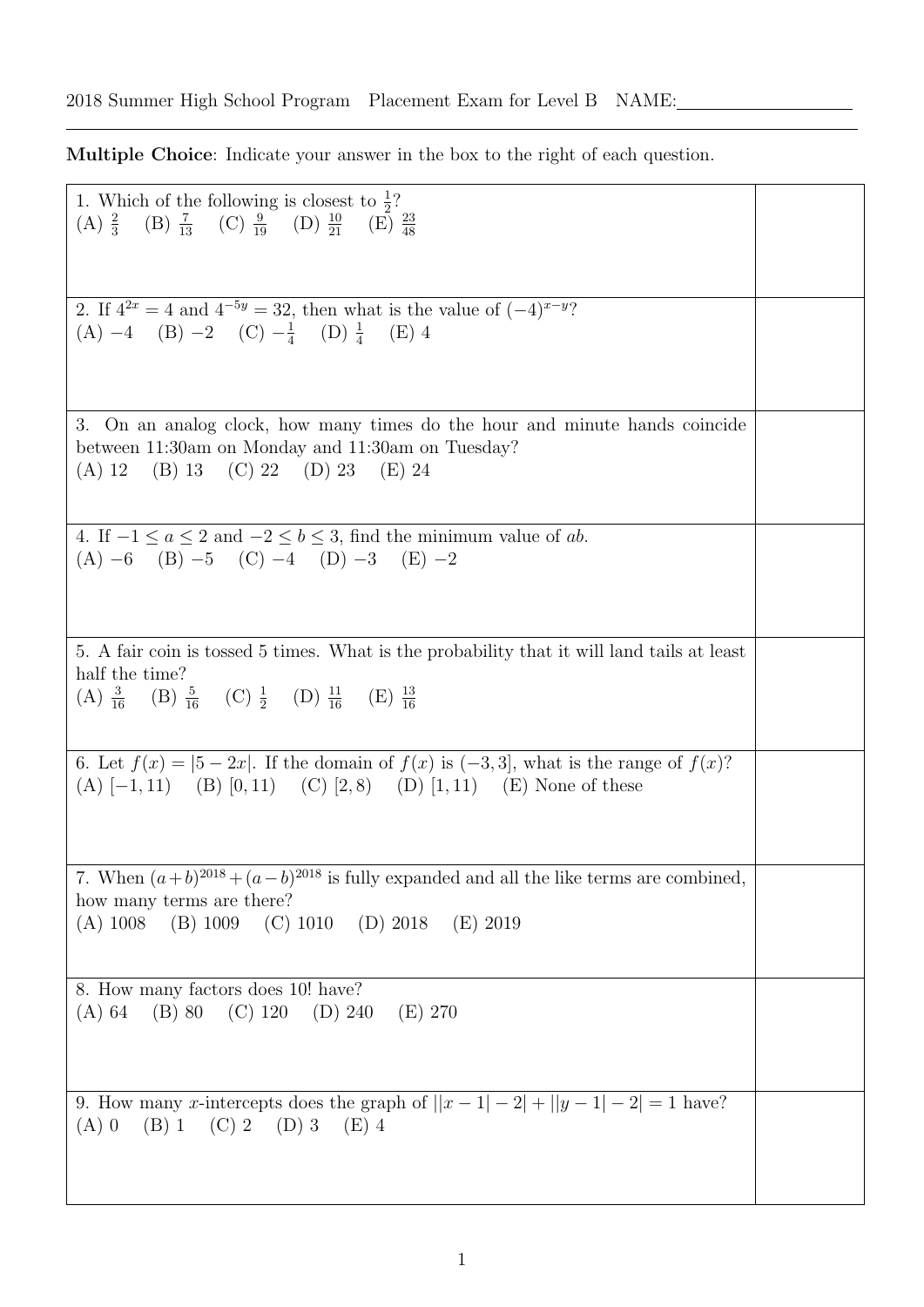Multiple Choice: Indicate your answer in the box to the right of each question.

| 1. Which of the following is closest to $\frac{1}{2}$ ?<br>(A) $\frac{2}{3}$ (B) $\frac{7}{13}$ (C) $\frac{9}{19}$ (D) $\frac{10}{21}$ (E) $\frac{23}{48}$                                                      |  |
|-----------------------------------------------------------------------------------------------------------------------------------------------------------------------------------------------------------------|--|
| 2. If $4^{2x} = 4$ and $4^{-5y} = 32$ , then what is the value of $(-4)^{x-y}$ ?<br>(A) $-4$ (B) $-2$ (C) $-\frac{1}{4}$ (D) $\frac{1}{4}$ (E) 4                                                                |  |
| 3. On an analog clock, how many times do the hour and minute hands coincide<br>between 11:30am on Monday and 11:30am on Tuesday?<br>(A) 12 (B) 13 (C) 22 (D) 23 (E) 24                                          |  |
| 4. If $-1 \le a \le 2$ and $-2 \le b \le 3$ , find the minimum value of ab.<br>$(A) -6$ $(B) -5$ $(C) -4$ $(D) -3$ $(E) -2$                                                                                     |  |
| 5. A fair coin is tossed 5 times. What is the probability that it will land tails at least<br>half the time?<br>(A) $\frac{3}{16}$ (B) $\frac{5}{16}$ (C) $\frac{1}{2}$ (D) $\frac{11}{16}$ (E) $\frac{13}{16}$ |  |
| 6. Let $f(x) =  5 - 2x $ . If the domain of $f(x)$ is $(-3,3]$ , what is the range of $f(x)$ ?<br>(A) $[-1, 11)$ (B) $[0, 11)$ (C) $[2, 8)$ (D) $[1, 11)$ (E) None of these                                     |  |
| 7. When $(a+b)^{2018} + (a-b)^{2018}$ is fully expanded and all the like terms are combined,<br>how many terms are there?<br>(A) $1008$ (B) $1009$ (C) $1010$ (D) $2018$ (E) $2019$                             |  |
| 8. How many factors does 10! have?<br>$(A) 64$ (B) 80 (C) 120 (D) 240<br>(E) 270                                                                                                                                |  |
| 9. How many <i>x</i> -intercepts does the graph of $  x-1 -2 +  y-1 -2 =1$ have?<br>$(B)$ 1<br>$(C)$ 2<br>(D) 3 (E) 4<br>$(A)$ 0                                                                                |  |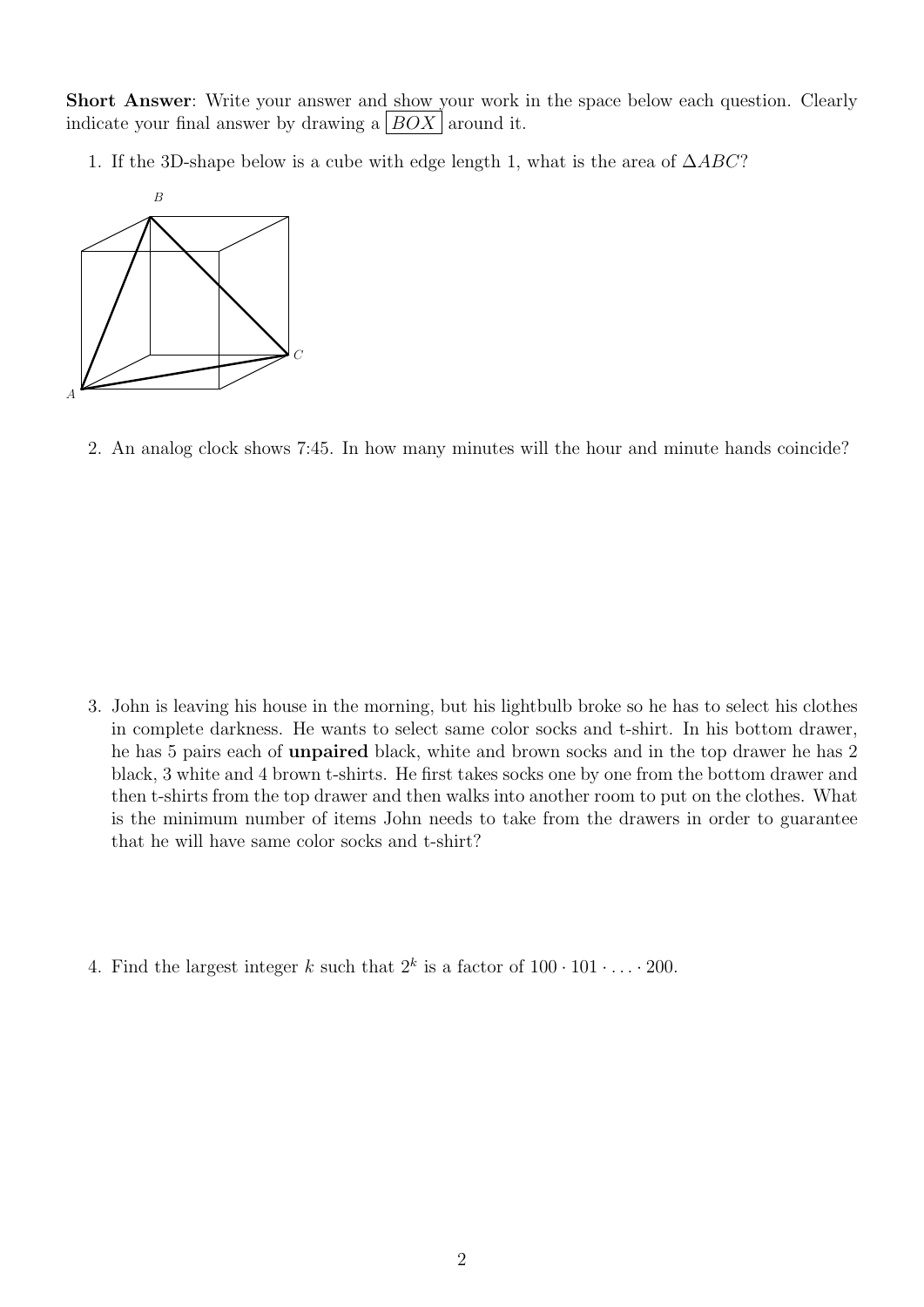Short Answer: Write your answer and show your work in the space below each question. Clearly indicate your final answer by drawing a  $|BOX|$  around it.

1. If the 3D-shape below is a cube with edge length 1, what is the area of  $\triangle ABC$ ?



2. An analog clock shows 7:45. In how many minutes will the hour and minute hands coincide?

- 3. John is leaving his house in the morning, but his lightbulb broke so he has to select his clothes in complete darkness. He wants to select same color socks and t-shirt. In his bottom drawer, he has 5 pairs each of unpaired black, white and brown socks and in the top drawer he has 2 black, 3 white and 4 brown t-shirts. He first takes socks one by one from the bottom drawer and then t-shirts from the top drawer and then walks into another room to put on the clothes. What is the minimum number of items John needs to take from the drawers in order to guarantee that he will have same color socks and t-shirt?
- 4. Find the largest integer k such that  $2^k$  is a factor of  $100 \cdot 101 \cdot \ldots \cdot 200$ .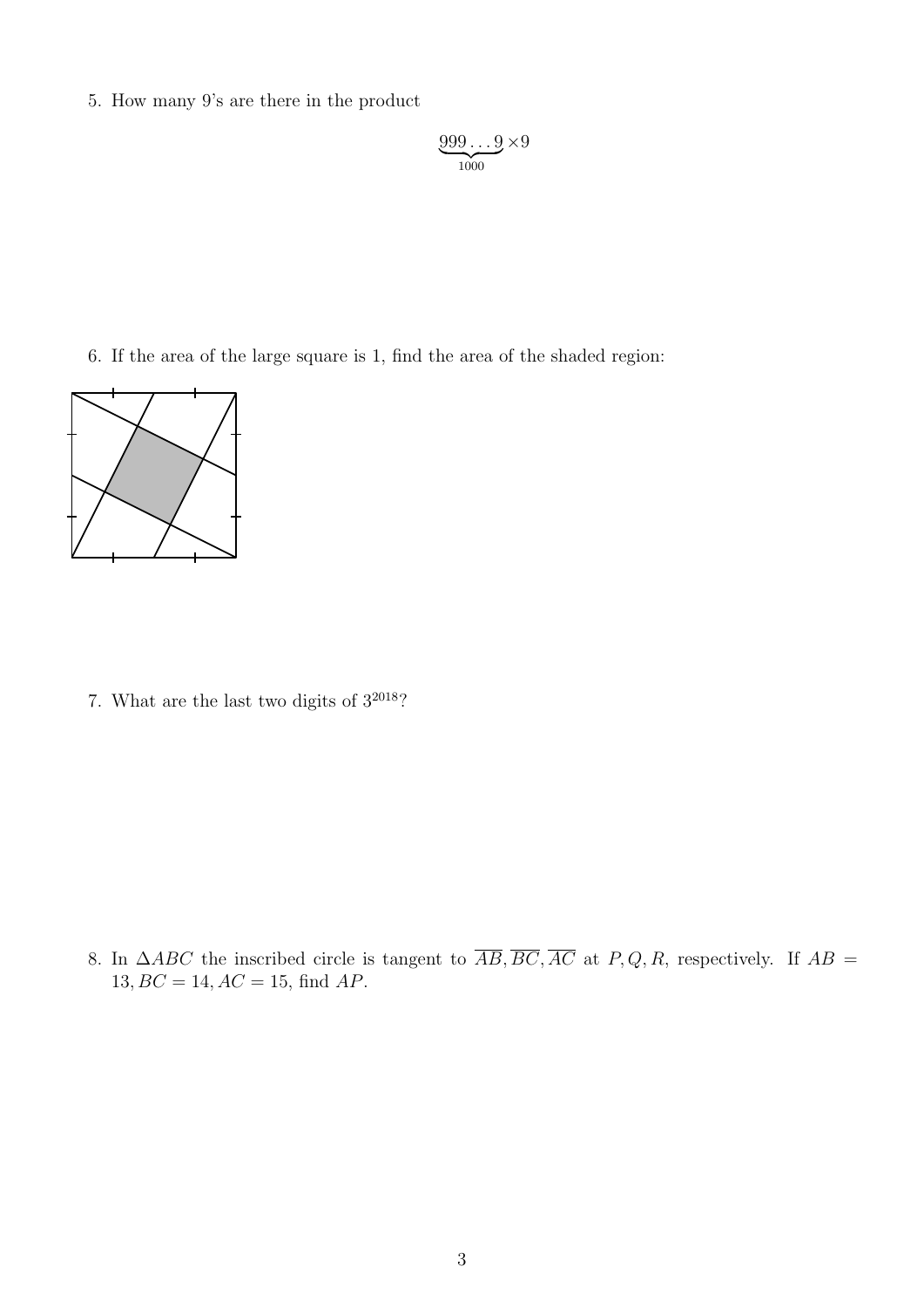5. How many 9's are there in the product

$$
\underbrace{999\ldots9}_{1000}\times 9
$$

6. If the area of the large square is 1, find the area of the shaded region:



7. What are the last two digits of  $3^{2018}$  ?

8. In  $\triangle ABC$  the inscribed circle is tangent to  $\overline{AB}, \overline{BC}, \overline{AC}$  at P, Q, R, respectively. If  $AB =$  $13, BC = 14, AC = 15,$  find  $AP.$